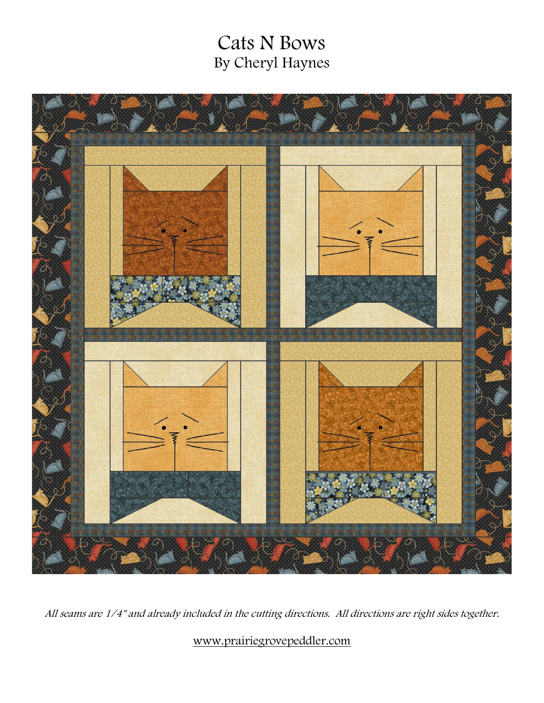# Cats N Bows By Cheryl Haynes



All seams are 1/4" and already included in the cutting directions. All directions are right sides together.

[www.prairiegrovepeddler.com](http://www.prairiegrovepeddler.com/)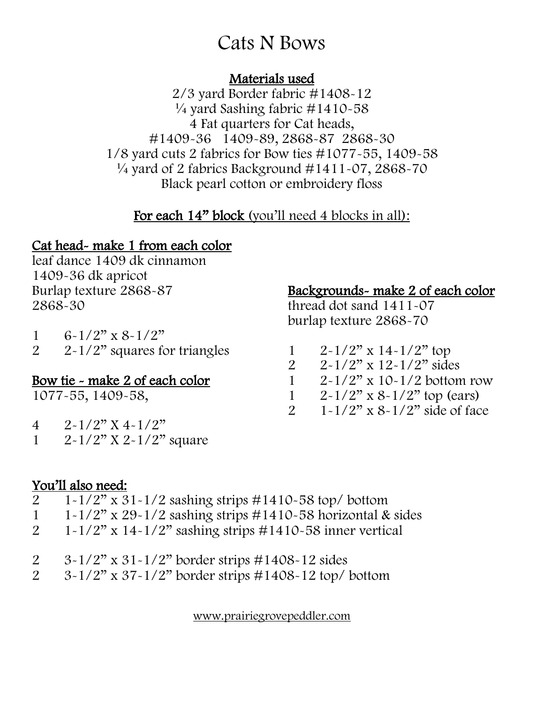# Cats N Bows

### Materials used

2/3 yard Border fabric #1408-12  $\frac{1}{4}$  yard Sashing fabric #1410-58 4 Fat quarters for Cat heads, #1409-36 1409-89, 2868-87 2868-30 1/8 yard cuts 2 fabrics for Bow ties #1077-55, 1409-58  $\frac{1}{4}$  yard of 2 fabrics Background #1411-07, 2868-70 Black pearl cotton or embroidery floss

## For each 14" block (you'll need 4 blocks in all):

## Cat head- make 1 from each color

leaf dance 1409 dk cinnamon 1409-36 dk apricot Burlap texture 2868-87 2868-30

| $\mathbf{1}$   | $6-1/2"$ x $8-1/2"$             |
|----------------|---------------------------------|
| $\overline{2}$ | $2-1/2$ " squares for triangles |

### Bow tie - make 2 of each color

1077-55, 1409-58,

- $4 \frac{2 \cdot 1}{2}$  X 4  $1/2$ "
- 1  $2 1/2"$  X 2  $1/2"$  square

## Backgrounds- make 2 of each color

thread dot sand 1411-07 burlap texture 2868-70

- 1  $2 1/2"$  x 14-1/2" top
- 2  $2 \times 1/2$ " x  $12 \times 1/2$ " sides<br>1  $2 \times 1/2$ " x  $10 \times 1/2$  botton
	- $2 1/2$ " x 10-1/2 bottom row
	-
- 1  $2 \times 1/2$ " x 8-1/2" top (ears)<br>2  $1 \times 1/2$ " x 8-1/2" side of fac  $1 - 1/2$ " x  $8 - 1/2$ " side of face

### You'll also need:

- 2 1-1/2" x 31-1/2 sashing strips #1410-58 top/ bottom
- 1 1-1/2" x 29-1/2 sashing strips  $\#1410$ -58 horizontal & sides<br>2 1-1/2" x 14-1/2" sashing strips  $\#1410$ -58 inner vertical
- $1-1/2$ " x  $14-1/2$ " sashing strips #1410-58 inner vertical
- 2 3-1/2" x 31-1/2" border strips #1408-12 sides
- 2 3-1/2" x 37-1/2" border strips #1408-12 top/ bottom

[www.prairiegrovepeddler.com](http://www.prairiegrovepeddler.com/)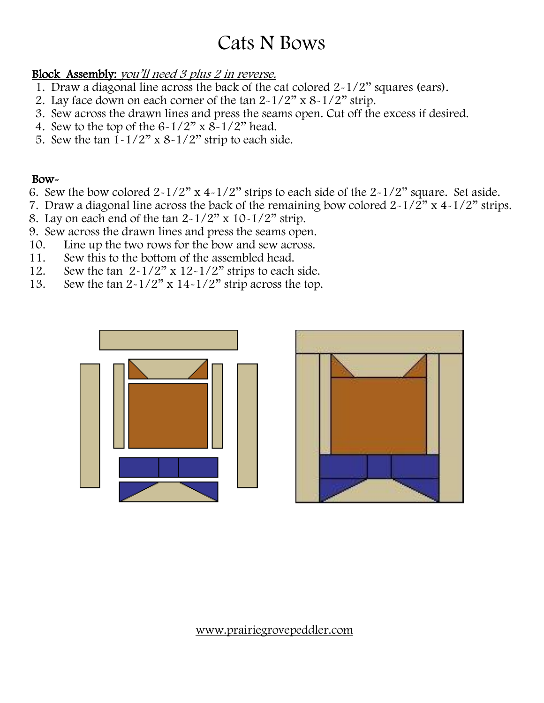# Cats N Bows

### Block Assembly: you'll need 3 plus 2 in reverse.

- 1. Draw a diagonal line across the back of the cat colored 2-1/2" squares (ears).
- 2. Lay face down on each corner of the tan  $2-1/2$ " x  $8-1/2$ " strip.
- 3. Sew across the drawn lines and press the seams open. Cut off the excess if desired.
- 4. Sew to the top of the  $6-1/2$ " x  $8-1/2$ " head.
- 5. Sew the tan  $1-1/2$ " x  $8-1/2$ " strip to each side.

#### Bow-

- 6. Sew the bow colored  $2-1/2$ " x  $4-1/2$ " strips to each side of the  $2-1/2$ " square. Set aside.
- 7. Draw a diagonal line across the back of the remaining bow colored  $2-1/2$ " x  $4-1/2$ " strips.
- 8. Lay on each end of the tan  $2-1/2$ " x  $10-1/2$ " strip.
- 9. Sew across the drawn lines and press the seams open.
- 10. Line up the two rows for the bow and sew across.
- 11. Sew this to the bottom of the assembled head.
- 12. Sew the tan  $2-1/2$ " x  $12-1/2$ " strips to each side.<br>13. Sew the tan  $2-1/2$ " x  $14-1/2$ " strip across the top.
- Sew the tan  $2-1/2$ " x  $14-1/2$ " strip across the top.